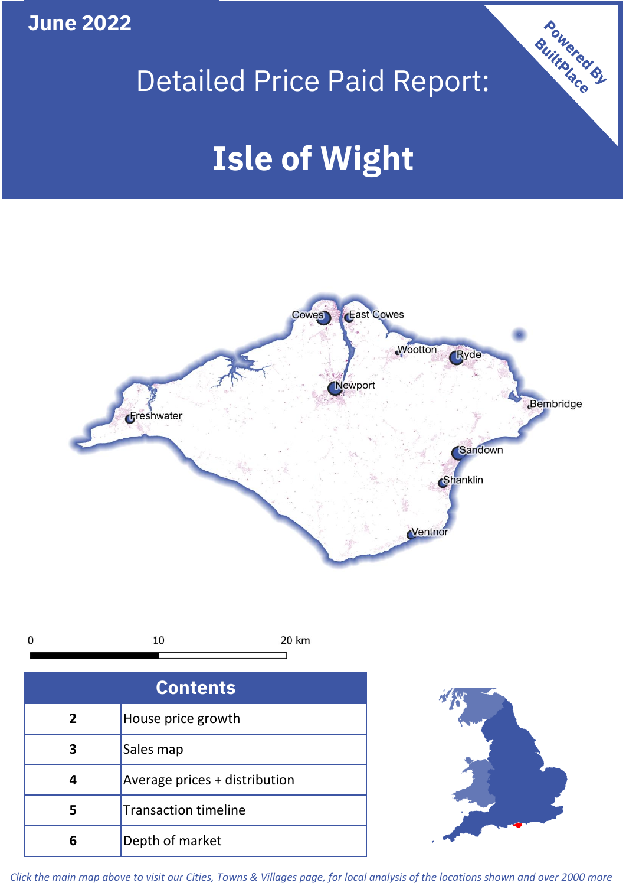**June 2022**

# Detailed Price Paid Report:

**Powered By** 

# **Isle of Wight**



*Click the main map above to visit our Cities, Towns & Villages page, for local analysis of the locations shown and over 2000 more*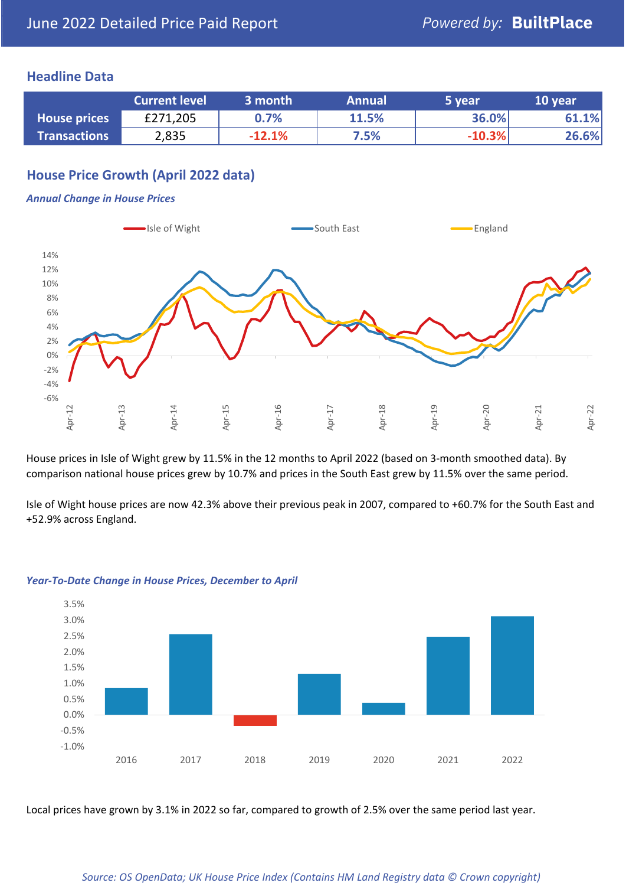#### **Headline Data**

|                     | <b>Current level</b> | 3 month  | <b>Annual</b> | 5 year   | 10 year |
|---------------------|----------------------|----------|---------------|----------|---------|
| <b>House prices</b> | £271,205             | 0.7%     | 11.5%         | 36.0%    | 61.1%   |
| <b>Transactions</b> | 2,835                | $-12.1%$ | 7.5%          | $-10.3%$ | 26.6%   |

# **House Price Growth (April 2022 data)**

#### *Annual Change in House Prices*



House prices in Isle of Wight grew by 11.5% in the 12 months to April 2022 (based on 3-month smoothed data). By comparison national house prices grew by 10.7% and prices in the South East grew by 11.5% over the same period.

Isle of Wight house prices are now 42.3% above their previous peak in 2007, compared to +60.7% for the South East and +52.9% across England.



#### *Year-To-Date Change in House Prices, December to April*

Local prices have grown by 3.1% in 2022 so far, compared to growth of 2.5% over the same period last year.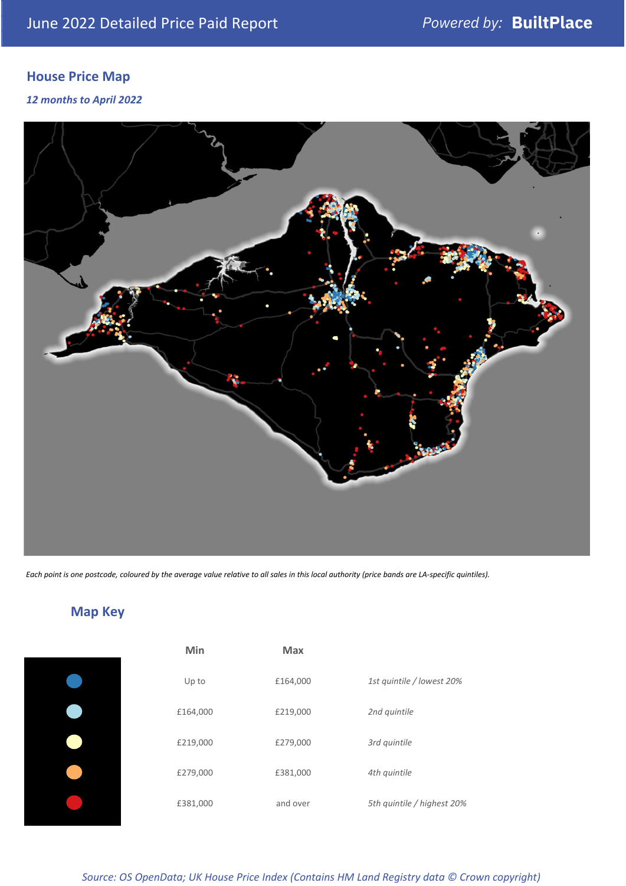# **House Price Map**

*12 months to April 2022*



*Each point is one postcode, coloured by the average value relative to all sales in this local authority (price bands are LA-specific quintiles).*



**Map Key**

| Min      | <b>Max</b> |                            |
|----------|------------|----------------------------|
| Up to    | £164,000   | 1st quintile / lowest 20%  |
| £164,000 | £219,000   | 2nd quintile               |
| £219,000 | £279,000   | 3rd quintile               |
| £279,000 | £381,000   | 4th quintile               |
| £381,000 | and over   | 5th quintile / highest 20% |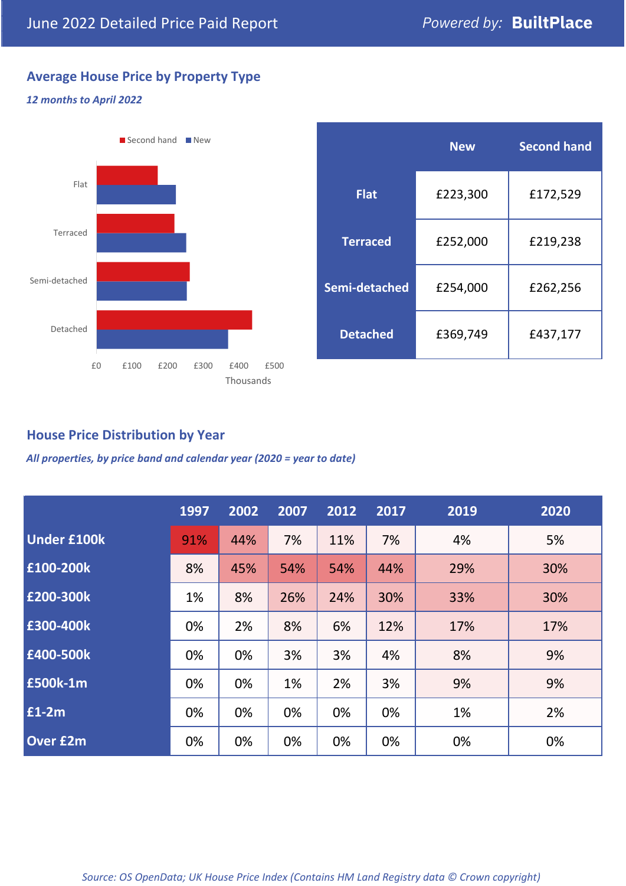# **Average House Price by Property Type**

#### *12 months to April 2022*



|                 | <b>New</b> | <b>Second hand</b> |  |  |
|-----------------|------------|--------------------|--|--|
| <b>Flat</b>     | £223,300   | £172,529           |  |  |
| <b>Terraced</b> | £252,000   | £219,238           |  |  |
| Semi-detached   | £254,000   | £262,256           |  |  |
| <b>Detached</b> | £369,749   | £437,177           |  |  |

## **House Price Distribution by Year**

*All properties, by price band and calendar year (2020 = year to date)*

|                    | 1997 | 2002 | 2007 | 2012 | 2017 | 2019 | 2020 |
|--------------------|------|------|------|------|------|------|------|
| <b>Under £100k</b> | 91%  | 44%  | 7%   | 11%  | 7%   | 4%   | 5%   |
| £100-200k          | 8%   | 45%  | 54%  | 54%  | 44%  | 29%  | 30%  |
| E200-300k          | 1%   | 8%   | 26%  | 24%  | 30%  | 33%  | 30%  |
| £300-400k          | 0%   | 2%   | 8%   | 6%   | 12%  | 17%  | 17%  |
| £400-500k          | 0%   | 0%   | 3%   | 3%   | 4%   | 8%   | 9%   |
| <b>£500k-1m</b>    | 0%   | 0%   | 1%   | 2%   | 3%   | 9%   | 9%   |
| £1-2m              | 0%   | 0%   | 0%   | 0%   | 0%   | 1%   | 2%   |
| <b>Over £2m</b>    | 0%   | 0%   | 0%   | 0%   | 0%   | 0%   | 0%   |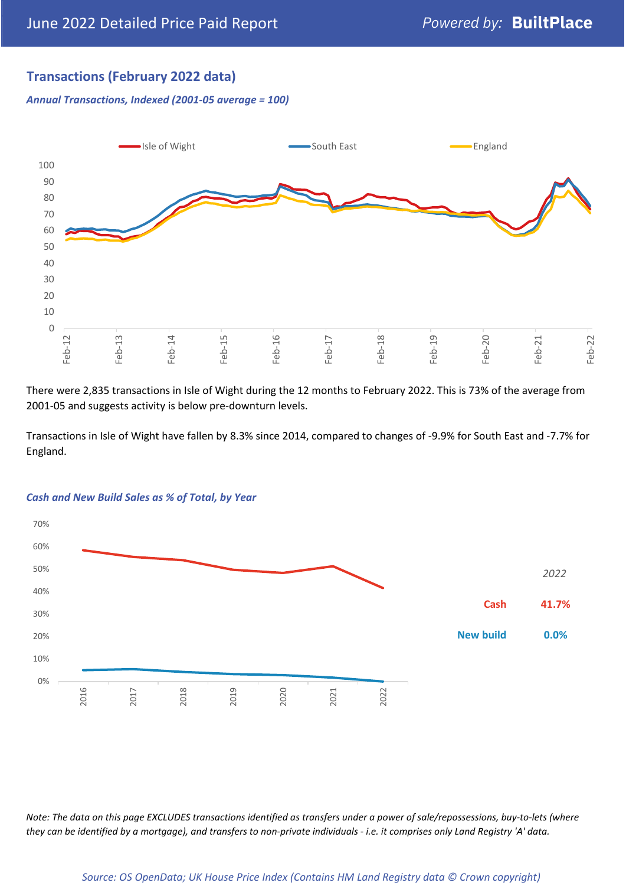# **Transactions (February 2022 data)**

*Annual Transactions, Indexed (2001-05 average = 100)*



There were 2,835 transactions in Isle of Wight during the 12 months to February 2022. This is 73% of the average from 2001-05 and suggests activity is below pre-downturn levels.

Transactions in Isle of Wight have fallen by 8.3% since 2014, compared to changes of -9.9% for South East and -7.7% for England.



#### *Cash and New Build Sales as % of Total, by Year*

*Note: The data on this page EXCLUDES transactions identified as transfers under a power of sale/repossessions, buy-to-lets (where they can be identified by a mortgage), and transfers to non-private individuals - i.e. it comprises only Land Registry 'A' data.*